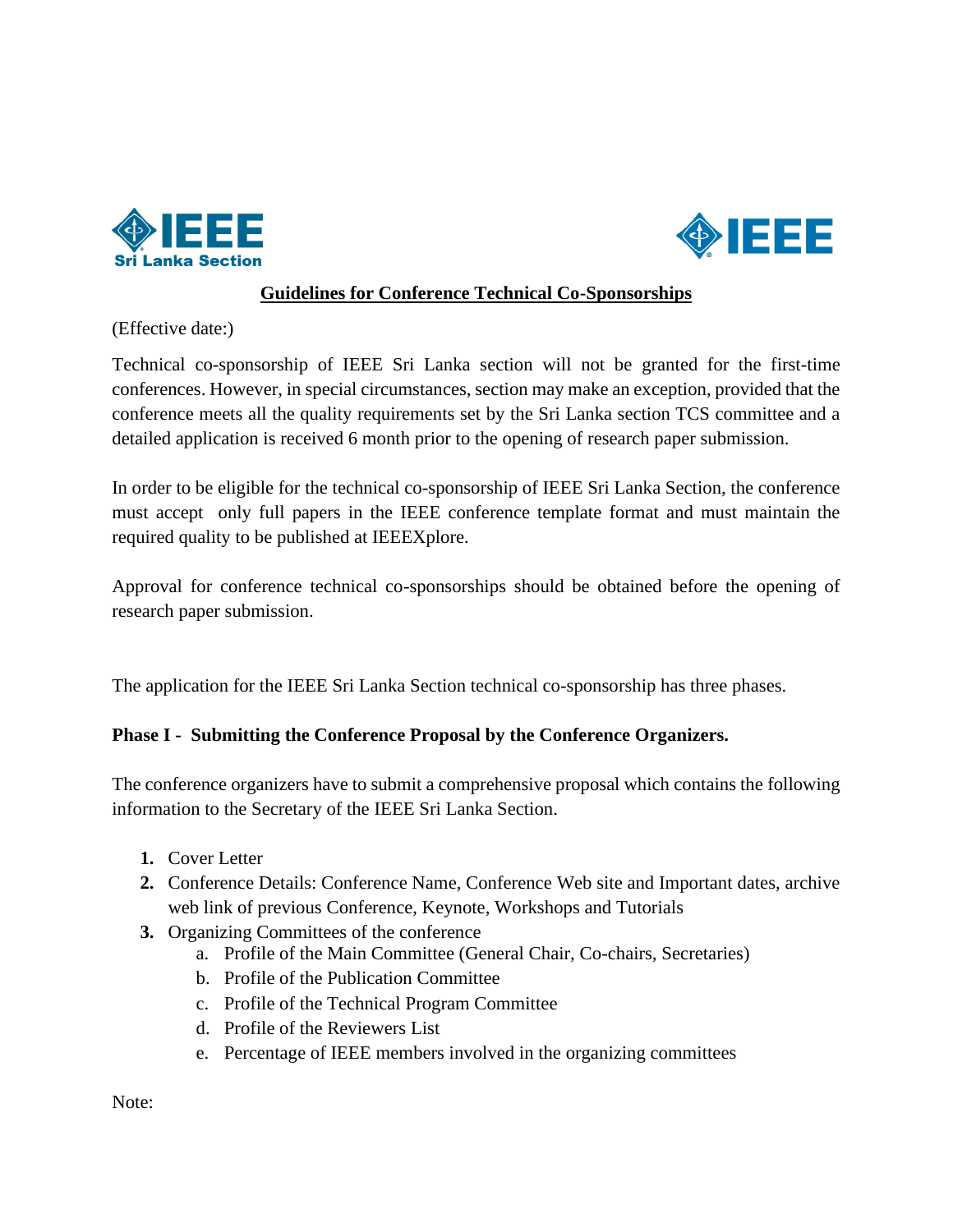



## **Guidelines for Conference Technical Co-Sponsorships**

(Effective date:)

Technical co-sponsorship of IEEE Sri Lanka section will not be granted for the first-time conferences. However, in special circumstances, section may make an exception, provided that the conference meets all the quality requirements set by the Sri Lanka section TCS committee and a detailed application is received 6 month prior to the opening of research paper submission.

In order to be eligible for the technical co-sponsorship of IEEE Sri Lanka Section, the conference must accept only full papers in the IEEE conference template format and must maintain the required quality to be published at IEEEXplore.

Approval for conference technical co-sponsorships should be obtained before the opening of research paper submission.

The application for the IEEE Sri Lanka Section technical co-sponsorship has three phases.

## **Phase I - Submitting the Conference Proposal by the Conference Organizers.**

The conference organizers have to submit a comprehensive proposal which contains the following information to the Secretary of the IEEE Sri Lanka Section.

- **1.** Cover Letter
- **2.** Conference Details: Conference Name, Conference Web site and Important dates, archive web link of previous Conference, Keynote, Workshops and Tutorials
- **3.** Organizing Committees of the conference
	- a. Profile of the Main Committee (General Chair, Co-chairs, Secretaries)
	- b. Profile of the Publication Committee
	- c. Profile of the Technical Program Committee
	- d. Profile of the Reviewers List
	- e. Percentage of IEEE members involved in the organizing committees

Note: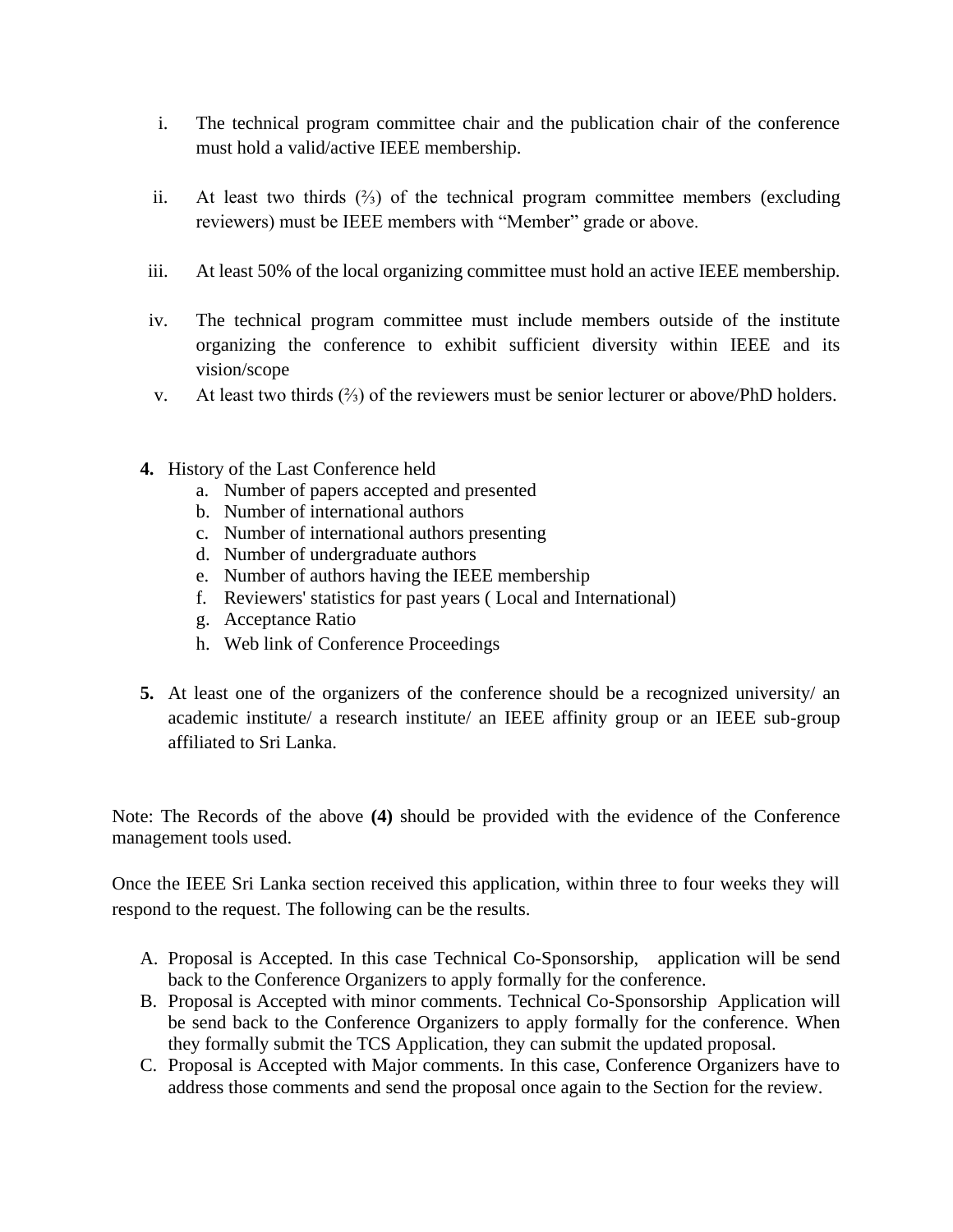- i. The technical program committee chair and the publication chair of the conference must hold a valid/active IEEE membership.
- ii. At least two thirds (⅔) of the technical program committee members (excluding reviewers) must be IEEE members with "Member" grade or above.
- iii. At least 50% of the local organizing committee must hold an active IEEE membership.
- iv. The technical program committee must include members outside of the institute organizing the conference to exhibit sufficient diversity within IEEE and its vision/scope
- v. At least two thirds (⅔) of the reviewers must be senior lecturer or above/PhD holders.
- **4.** History of the Last Conference held
	- a. Number of papers accepted and presented
	- b. Number of international authors
	- c. Number of international authors presenting
	- d. Number of undergraduate authors
	- e. Number of authors having the IEEE membership
	- f. Reviewers' statistics for past years ( Local and International)
	- g. Acceptance Ratio
	- h. Web link of Conference Proceedings
- **5.** At least one of the organizers of the conference should be a recognized university/ an academic institute/ a research institute/ an IEEE affinity group or an IEEE sub-group affiliated to Sri Lanka.

Note: The Records of the above **(4)** should be provided with the evidence of the Conference management tools used.

Once the IEEE Sri Lanka section received this application, within three to four weeks they will respond to the request. The following can be the results.

- A. Proposal is Accepted. In this case Technical Co-Sponsorship, application will be send back to the Conference Organizers to apply formally for the conference.
- B. Proposal is Accepted with minor comments. Technical Co-Sponsorship Application will be send back to the Conference Organizers to apply formally for the conference. When they formally submit the TCS Application, they can submit the updated proposal.
- C. Proposal is Accepted with Major comments. In this case, Conference Organizers have to address those comments and send the proposal once again to the Section for the review.